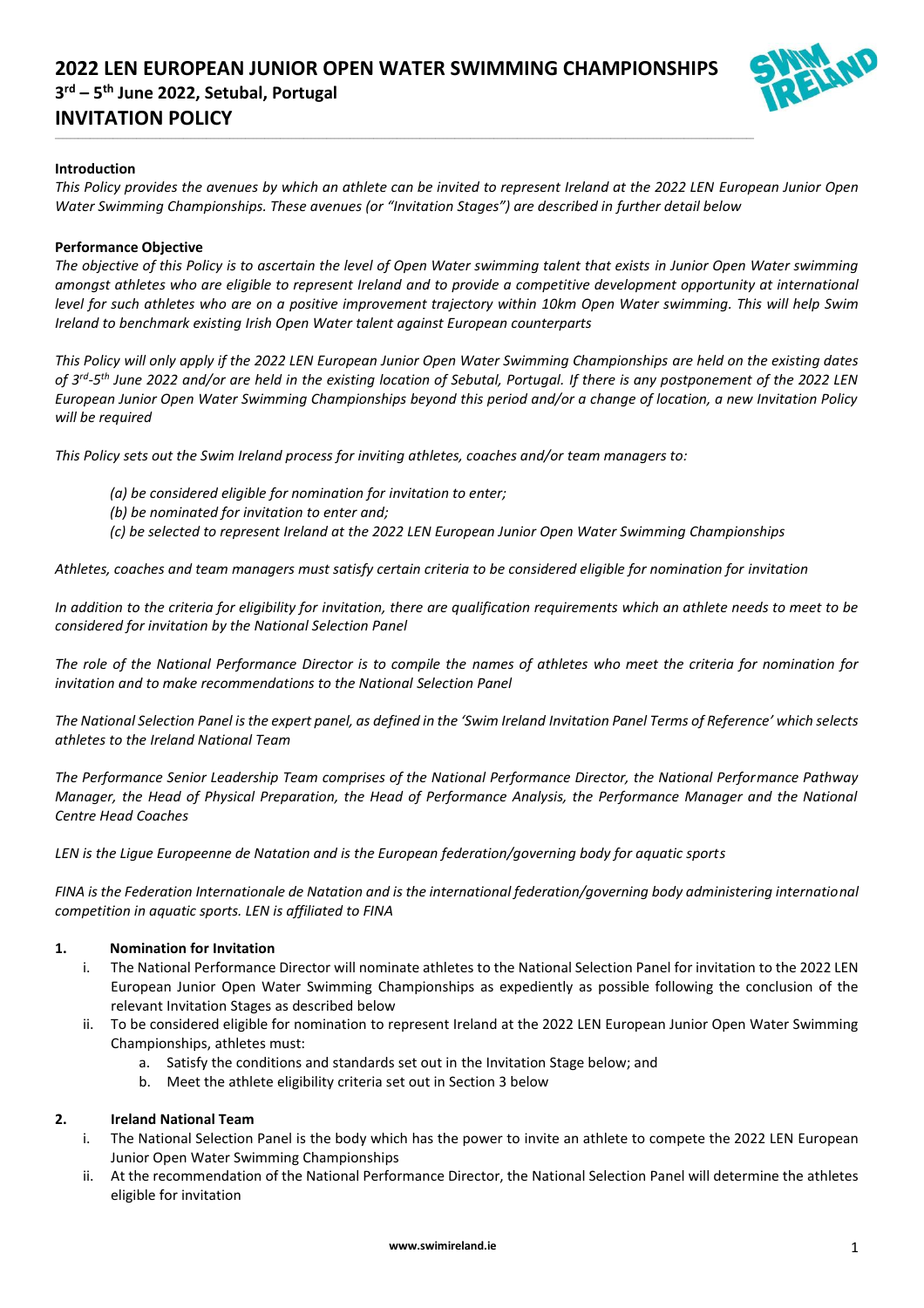\_\_\_\_\_\_\_\_\_\_\_\_\_\_\_\_\_\_\_\_\_\_\_\_\_\_\_\_\_\_\_\_\_\_\_\_\_\_\_\_\_\_\_\_\_\_\_\_\_\_\_\_\_\_\_\_\_\_\_\_\_\_\_\_\_\_\_\_\_\_\_\_\_\_\_\_\_\_\_\_\_\_\_\_\_\_\_\_\_\_\_\_\_\_\_\_\_\_\_\_\_\_\_\_\_\_\_\_\_\_\_\_\_\_\_\_\_\_\_\_\_\_\_\_\_\_\_\_\_\_\_\_\_\_\_\_\_\_\_\_\_\_\_\_\_\_\_\_\_\_\_\_\_\_\_\_\_\_\_\_\_\_\_\_\_\_\_\_\_\_\_\_\_\_\_\_\_\_\_\_



#### **Introduction**

*This Policy provides the avenues by which an athlete can be invited to represent Ireland at the 2022 LEN European Junior Open Water Swimming Championships. These avenues (or "Invitation Stages") are described in further detail below* 

#### **Performance Objective**

*The objective of this Policy is to ascertain the level of Open Water swimming talent that exists in Junior Open Water swimming amongst athletes who are eligible to represent Ireland and to provide a competitive development opportunity at international level for such athletes who are on a positive improvement trajectory within 10km Open Water swimming. This will help Swim Ireland to benchmark existing Irish Open Water talent against European counterparts*

*This Policy will only apply if the 2022 LEN European Junior Open Water Swimming Championships are held on the existing dates of 3rd -5 th June 2022 and/or are held in the existing location of Sebutal, Portugal. If there is any postponement of the 2022 LEN European Junior Open Water Swimming Championships beyond this period and/or a change of location, a new Invitation Policy will be required*

*This Policy sets out the Swim Ireland process for inviting athletes, coaches and/or team managers to:*

- *(a) be considered eligible for nomination for invitation to enter;*
- *(b) be nominated for invitation to enter and;*
- *(c) be selected to represent Ireland at the 2022 LEN European Junior Open Water Swimming Championships*

*Athletes, coaches and team managers must satisfy certain criteria to be considered eligible for nomination for invitation*

*In addition to the criteria for eligibility for invitation, there are qualification requirements which an athlete needs to meet to be considered for invitation by the National Selection Panel*

*The role of the National Performance Director is to compile the names of athletes who meet the criteria for nomination for invitation and to make recommendations to the National Selection Panel*

*The National Selection Panel is the expert panel, as defined in the 'Swim Ireland Invitation Panel Terms of Reference' which selects athletes to the Ireland National Team*

*The Performance Senior Leadership Team comprises of the National Performance Director, the National Performance Pathway Manager, the Head of Physical Preparation, the Head of Performance Analysis, the Performance Manager and the National Centre Head Coaches*

*LEN is the Ligue Europeenne de Natation and is the European federation/governing body for aquatic sports*

*FINA is the Federation Internationale de Natation and is the international federation/governing body administering international competition in aquatic sports. LEN is affiliated to FINA*

#### **1. Nomination for Invitation**

- i. The National Performance Director will nominate athletes to the National Selection Panel for invitation to the 2022 LEN European Junior Open Water Swimming Championships as expediently as possible following the conclusion of the relevant Invitation Stages as described below
- ii. To be considered eligible for nomination to represent Ireland at the 2022 LEN European Junior Open Water Swimming Championships, athletes must:
	- a. Satisfy the conditions and standards set out in the Invitation Stage below; and
	- b. Meet the athlete eligibility criteria set out in Section 3 below

#### **2. Ireland National Team**

- i. The National Selection Panel is the body which has the power to invite an athlete to compete the 2022 LEN European Junior Open Water Swimming Championships
- ii. At the recommendation of the National Performance Director, the National Selection Panel will determine the athletes eligible for invitation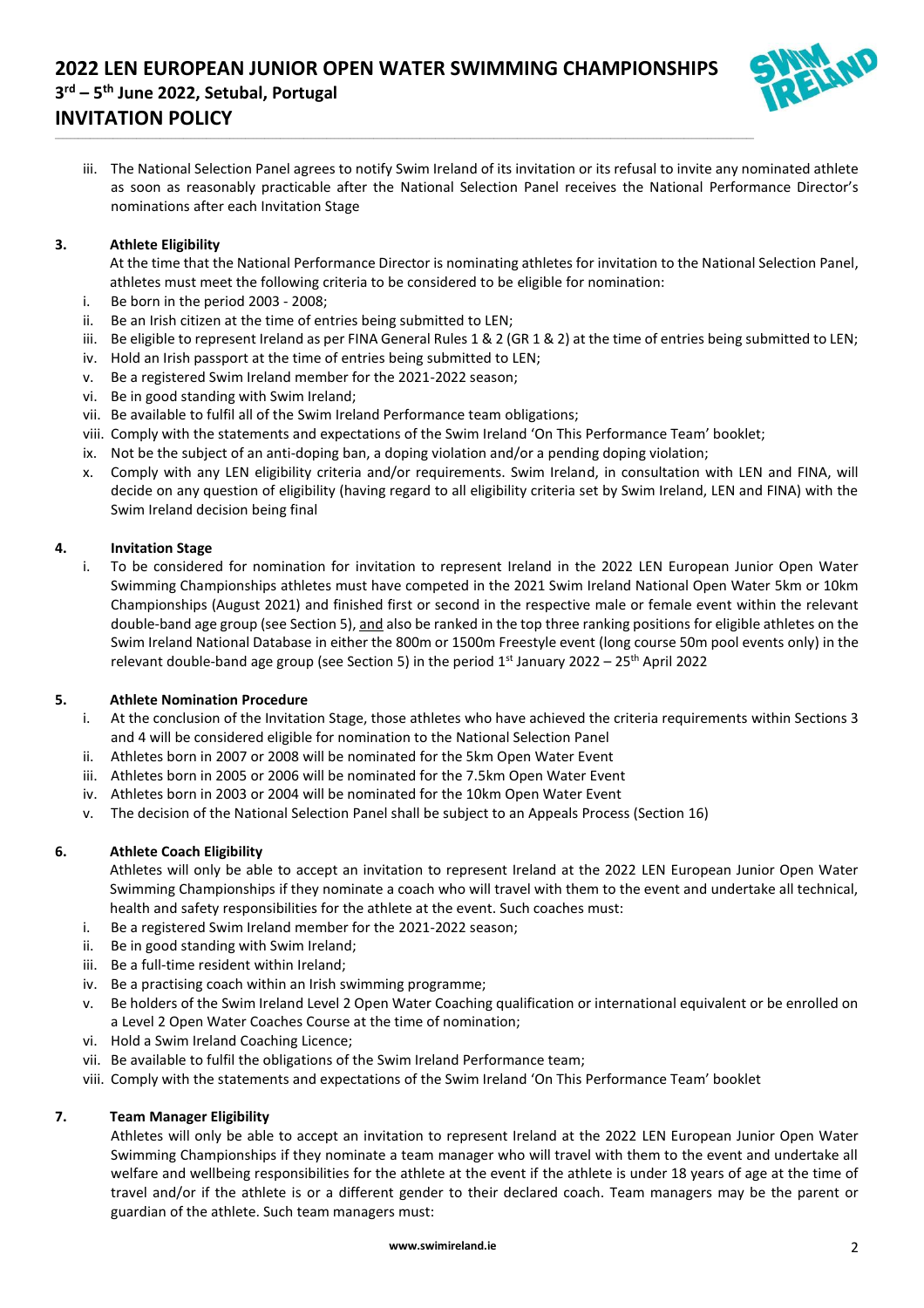\_\_\_\_\_\_\_\_\_\_\_\_\_\_\_\_\_\_\_\_\_\_\_\_\_\_\_\_\_\_\_\_\_\_\_\_\_\_\_\_\_\_\_\_\_\_\_\_\_\_\_\_\_\_\_\_\_\_\_\_\_\_\_\_\_\_\_\_\_\_\_\_\_\_\_\_\_\_\_\_\_\_\_\_\_\_\_\_\_\_\_\_\_\_\_\_\_\_\_\_\_\_\_\_\_\_\_\_\_\_\_\_\_\_\_\_\_\_\_\_\_\_\_\_\_\_\_\_\_\_\_\_\_\_\_\_\_\_\_\_\_\_\_\_\_\_\_\_\_\_\_\_\_\_\_\_\_\_\_\_\_\_\_\_\_\_\_\_\_\_\_\_\_\_\_\_\_\_\_\_



iii. The National Selection Panel agrees to notify Swim Ireland of its invitation or its refusal to invite any nominated athlete as soon as reasonably practicable after the National Selection Panel receives the National Performance Director's nominations after each Invitation Stage

## **3. Athlete Eligibility**

- At the time that the National Performance Director is nominating athletes for invitation to the National Selection Panel, athletes must meet the following criteria to be considered to be eligible for nomination:
- i. Be born in the period 2003 2008;
- ii. Be an Irish citizen at the time of entries being submitted to LEN;
- iii. Be eligible to represent Ireland as per FINA General Rules 1 & 2 (GR 1 & 2) at the time of entries being submitted to LEN;
- iv. Hold an Irish passport at the time of entries being submitted to LEN;
- v. Be a registered Swim Ireland member for the 2021-2022 season;
- vi. Be in good standing with Swim Ireland;
- vii. Be available to fulfil all of the Swim Ireland Performance team obligations;
- viii. Comply with the statements and expectations of the Swim Ireland 'On This Performance Team' booklet;
- ix. Not be the subject of an anti-doping ban, a doping violation and/or a pending doping violation;
- x. Comply with any LEN eligibility criteria and/or requirements. Swim Ireland, in consultation with LEN and FINA, will decide on any question of eligibility (having regard to all eligibility criteria set by Swim Ireland, LEN and FINA) with the Swim Ireland decision being final

## **4. Invitation Stage**

i. To be considered for nomination for invitation to represent Ireland in the 2022 LEN European Junior Open Water Swimming Championships athletes must have competed in the 2021 Swim Ireland National Open Water 5km or 10km Championships (August 2021) and finished first or second in the respective male or female event within the relevant double-band age group (see Section 5), and also be ranked in the top three ranking positions for eligible athletes on the Swim Ireland National Database in either the 800m or 1500m Freestyle event (long course 50m pool events only) in the relevant double-band age group (see Section 5) in the period 1st January 2022 – 25<sup>th</sup> April 2022

#### **5. Athlete Nomination Procedure**

- i. At the conclusion of the Invitation Stage, those athletes who have achieved the criteria requirements within Sections 3 and 4 will be considered eligible for nomination to the National Selection Panel
- ii. Athletes born in 2007 or 2008 will be nominated for the 5km Open Water Event
- iii. Athletes born in 2005 or 2006 will be nominated for the 7.5km Open Water Event
- iv. Athletes born in 2003 or 2004 will be nominated for the 10km Open Water Event
- v. The decision of the National Selection Panel shall be subject to an Appeals Process (Section 16)

## **6. Athlete Coach Eligibility**

Athletes will only be able to accept an invitation to represent Ireland at the 2022 LEN European Junior Open Water Swimming Championships if they nominate a coach who will travel with them to the event and undertake all technical, health and safety responsibilities for the athlete at the event. Such coaches must:

- i. Be a registered Swim Ireland member for the 2021-2022 season;
- ii. Be in good standing with Swim Ireland;
- iii. Be a full-time resident within Ireland;
- iv. Be a practising coach within an Irish swimming programme;
- v. Be holders of the Swim Ireland Level 2 Open Water Coaching qualification or international equivalent or be enrolled on a Level 2 Open Water Coaches Course at the time of nomination;
- vi. Hold a Swim Ireland Coaching Licence;
- vii. Be available to fulfil the obligations of the Swim Ireland Performance team;
- viii. Comply with the statements and expectations of the Swim Ireland 'On This Performance Team' booklet

## **7. Team Manager Eligibility**

Athletes will only be able to accept an invitation to represent Ireland at the 2022 LEN European Junior Open Water Swimming Championships if they nominate a team manager who will travel with them to the event and undertake all welfare and wellbeing responsibilities for the athlete at the event if the athlete is under 18 years of age at the time of travel and/or if the athlete is or a different gender to their declared coach. Team managers may be the parent or guardian of the athlete. Such team managers must: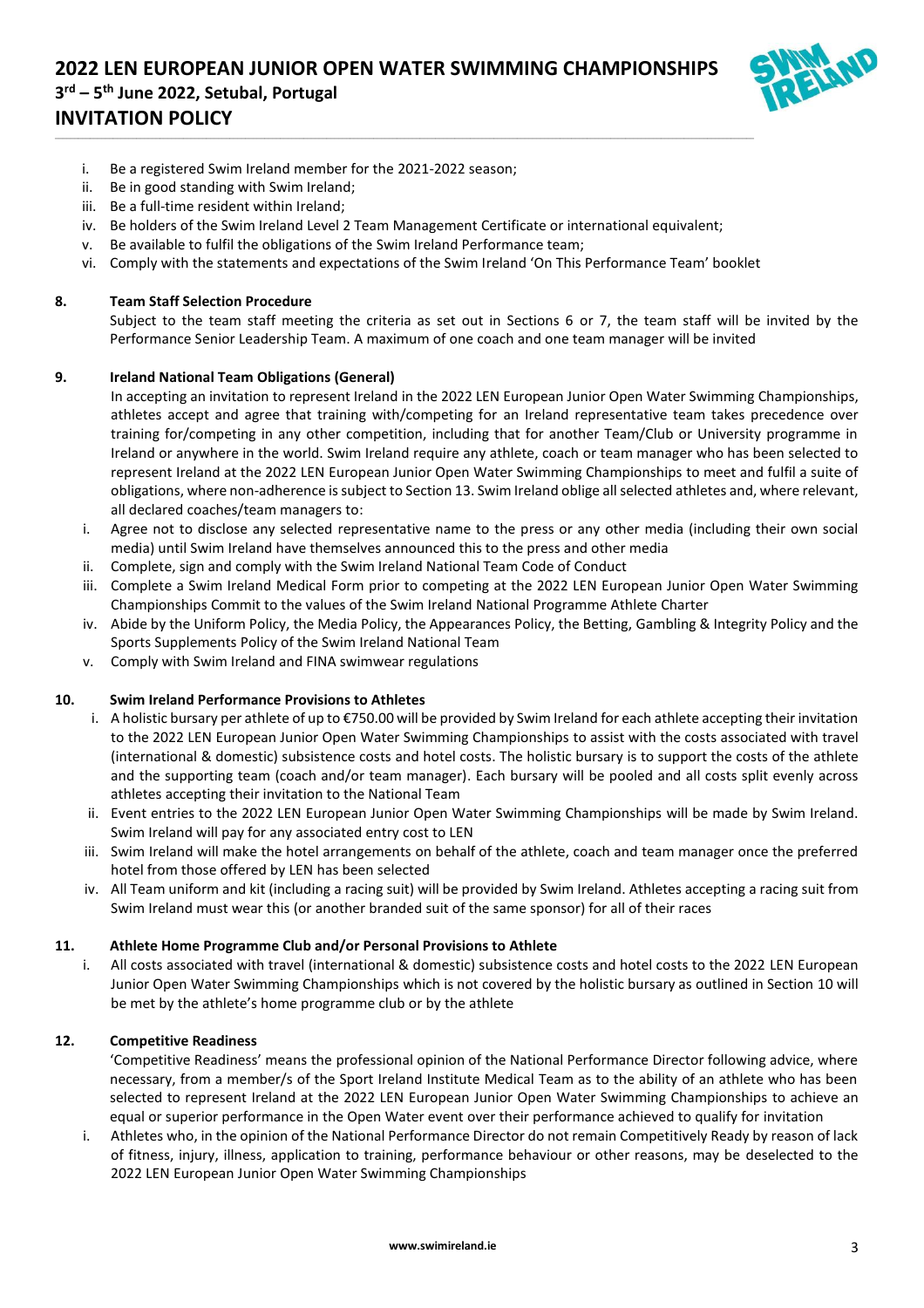

- i. Be a registered Swim Ireland member for the 2021-2022 season;
- ii. Be in good standing with Swim Ireland;
- iii. Be a full-time resident within Ireland;
- iv. Be holders of the Swim Ireland Level 2 Team Management Certificate or international equivalent;

\_\_\_\_\_\_\_\_\_\_\_\_\_\_\_\_\_\_\_\_\_\_\_\_\_\_\_\_\_\_\_\_\_\_\_\_\_\_\_\_\_\_\_\_\_\_\_\_\_\_\_\_\_\_\_\_\_\_\_\_\_\_\_\_\_\_\_\_\_\_\_\_\_\_\_\_\_\_\_\_\_\_\_\_\_\_\_\_\_\_\_\_\_\_\_\_\_\_\_\_\_\_\_\_\_\_\_\_\_\_\_\_\_\_\_\_\_\_\_\_\_\_\_\_\_\_\_\_\_\_\_\_\_\_\_\_\_\_\_\_\_\_\_\_\_\_\_\_\_\_\_\_\_\_\_\_\_\_\_\_\_\_\_\_\_\_\_\_\_\_\_\_\_\_\_\_\_\_\_\_

- v. Be available to fulfil the obligations of the Swim Ireland Performance team;
- vi. Comply with the statements and expectations of the Swim Ireland 'On This Performance Team' booklet

#### **8. Team Staff Selection Procedure**

Subject to the team staff meeting the criteria as set out in Sections 6 or 7, the team staff will be invited by the Performance Senior Leadership Team. A maximum of one coach and one team manager will be invited

### **9. Ireland National Team Obligations (General)**

In accepting an invitation to represent Ireland in the 2022 LEN European Junior Open Water Swimming Championships, athletes accept and agree that training with/competing for an Ireland representative team takes precedence over training for/competing in any other competition, including that for another Team/Club or University programme in Ireland or anywhere in the world. Swim Ireland require any athlete, coach or team manager who has been selected to represent Ireland at the 2022 LEN European Junior Open Water Swimming Championships to meet and fulfil a suite of obligations, where non-adherence is subject to Section 13. Swim Ireland oblige all selected athletes and, where relevant, all declared coaches/team managers to:

- i. Agree not to disclose any selected representative name to the press or any other media (including their own social media) until Swim Ireland have themselves announced this to the press and other media
- ii. Complete, sign and comply with the Swim Ireland National Team Code of Conduct
- iii. Complete a Swim Ireland Medical Form prior to competing at the 2022 LEN European Junior Open Water Swimming Championships Commit to the values of the Swim Ireland National Programme Athlete Charter
- iv. Abide by the Uniform Policy, the Media Policy, the Appearances Policy, the Betting, Gambling & Integrity Policy and the Sports Supplements Policy of the Swim Ireland National Team
- v. Comply with Swim Ireland and FINA swimwear regulations

#### **10. Swim Ireland Performance Provisions to Athletes**

- i. A holistic bursary per athlete of up to  $\epsilon$ 750.00 will be provided by Swim Ireland for each athlete accepting their invitation to the 2022 LEN European Junior Open Water Swimming Championships to assist with the costs associated with travel (international & domestic) subsistence costs and hotel costs. The holistic bursary is to support the costs of the athlete and the supporting team (coach and/or team manager). Each bursary will be pooled and all costs split evenly across athletes accepting their invitation to the National Team
- ii. Event entries to the 2022 LEN European Junior Open Water Swimming Championships will be made by Swim Ireland. Swim Ireland will pay for any associated entry cost to LEN
- iii. Swim Ireland will make the hotel arrangements on behalf of the athlete, coach and team manager once the preferred hotel from those offered by LEN has been selected
- iv. All Team uniform and kit (including a racing suit) will be provided by Swim Ireland. Athletes accepting a racing suit from Swim Ireland must wear this (or another branded suit of the same sponsor) for all of their races

#### **11. Athlete Home Programme Club and/or Personal Provisions to Athlete**

i. All costs associated with travel (international & domestic) subsistence costs and hotel costs to the 2022 LEN European Junior Open Water Swimming Championships which is not covered by the holistic bursary as outlined in Section 10 will be met by the athlete's home programme club or by the athlete

#### **12. Competitive Readiness**

'Competitive Readiness' means the professional opinion of the National Performance Director following advice, where necessary, from a member/s of the Sport Ireland Institute Medical Team as to the ability of an athlete who has been selected to represent Ireland at the 2022 LEN European Junior Open Water Swimming Championships to achieve an equal or superior performance in the Open Water event over their performance achieved to qualify for invitation

i. Athletes who, in the opinion of the National Performance Director do not remain Competitively Ready by reason of lack of fitness, injury, illness, application to training, performance behaviour or other reasons, may be deselected to the 2022 LEN European Junior Open Water Swimming Championships